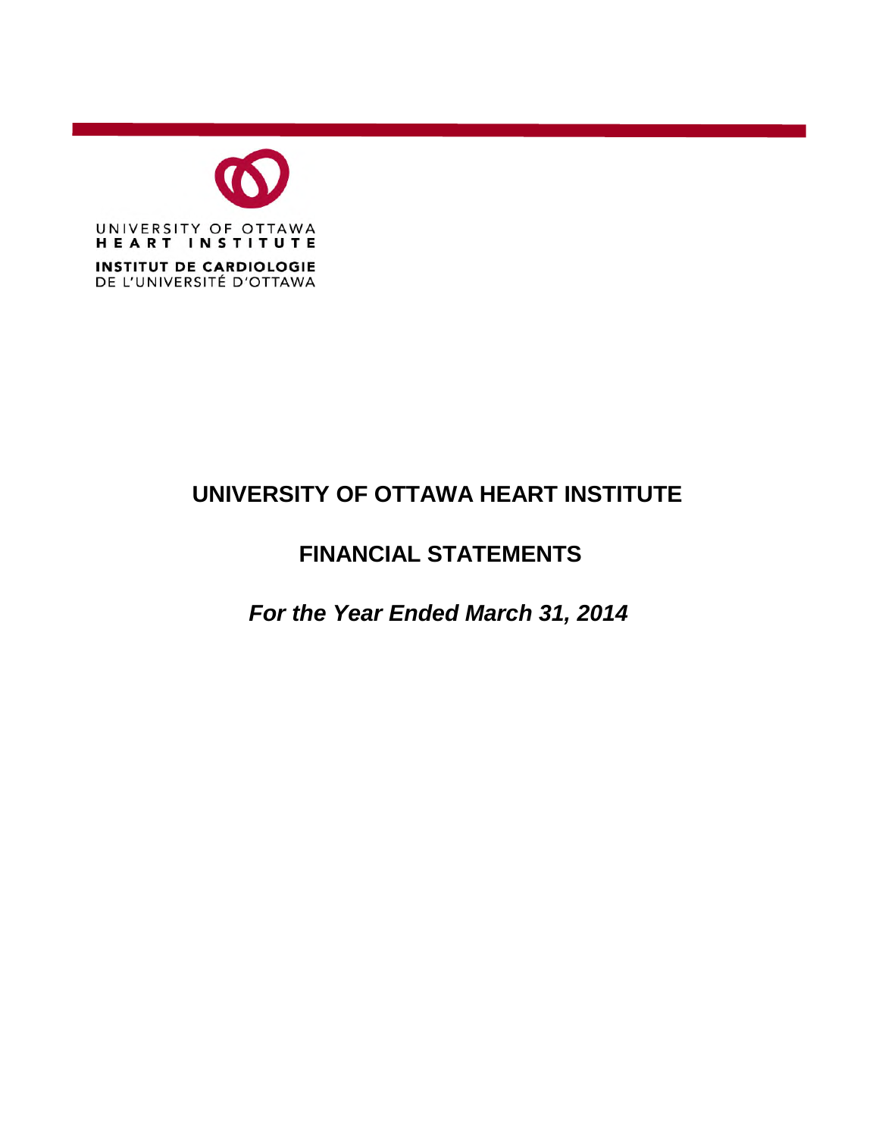

# **UNIVERSITY OF OTTAWA HEART INSTITUTE**

# **FINANCIAL STATEMENTS**

*For the Year Ended March 31, 2014*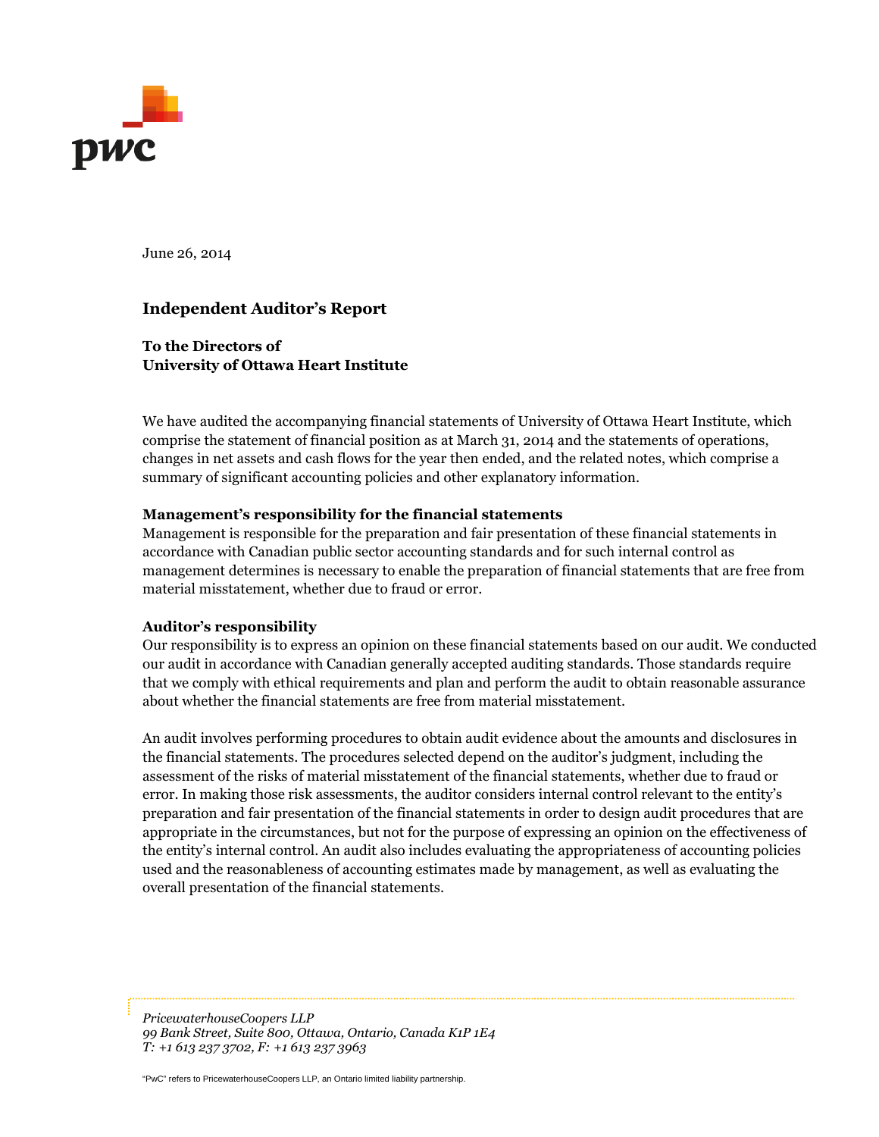

June 26, 2014

#### **Independent Auditor's Report**

#### **To the Directors of University of Ottawa Heart Institute**

We have audited the accompanying financial statements of University of Ottawa Heart Institute, which comprise the statement of financial position as at March 31, 2014 and the statements of operations, changes in net assets and cash flows for the year then ended, and the related notes, which comprise a summary of significant accounting policies and other explanatory information.

#### **Management's responsibility for the financial statements**

Management is responsible for the preparation and fair presentation of these financial statements in accordance with Canadian public sector accounting standards and for such internal control as management determines is necessary to enable the preparation of financial statements that are free from material misstatement, whether due to fraud or error.

#### **Auditor's responsibility**

Our responsibility is to express an opinion on these financial statements based on our audit. We conducted our audit in accordance with Canadian generally accepted auditing standards. Those standards require that we comply with ethical requirements and plan and perform the audit to obtain reasonable assurance about whether the financial statements are free from material misstatement.

An audit involves performing procedures to obtain audit evidence about the amounts and disclosures in the financial statements. The procedures selected depend on the auditor's judgment, including the assessment of the risks of material misstatement of the financial statements, whether due to fraud or error. In making those risk assessments, the auditor considers internal control relevant to the entity's preparation and fair presentation of the financial statements in order to design audit procedures that are appropriate in the circumstances, but not for the purpose of expressing an opinion on the effectiveness of the entity's internal control. An audit also includes evaluating the appropriateness of accounting policies used and the reasonableness of accounting estimates made by management, as well as evaluating the overall presentation of the financial statements.

*PricewaterhouseCoopers LLP 99 Bank Street, Suite 800, Ottawa, Ontario, Canada K1P 1E4 T: +1 613 237 3702, F: +1 613 237 3963*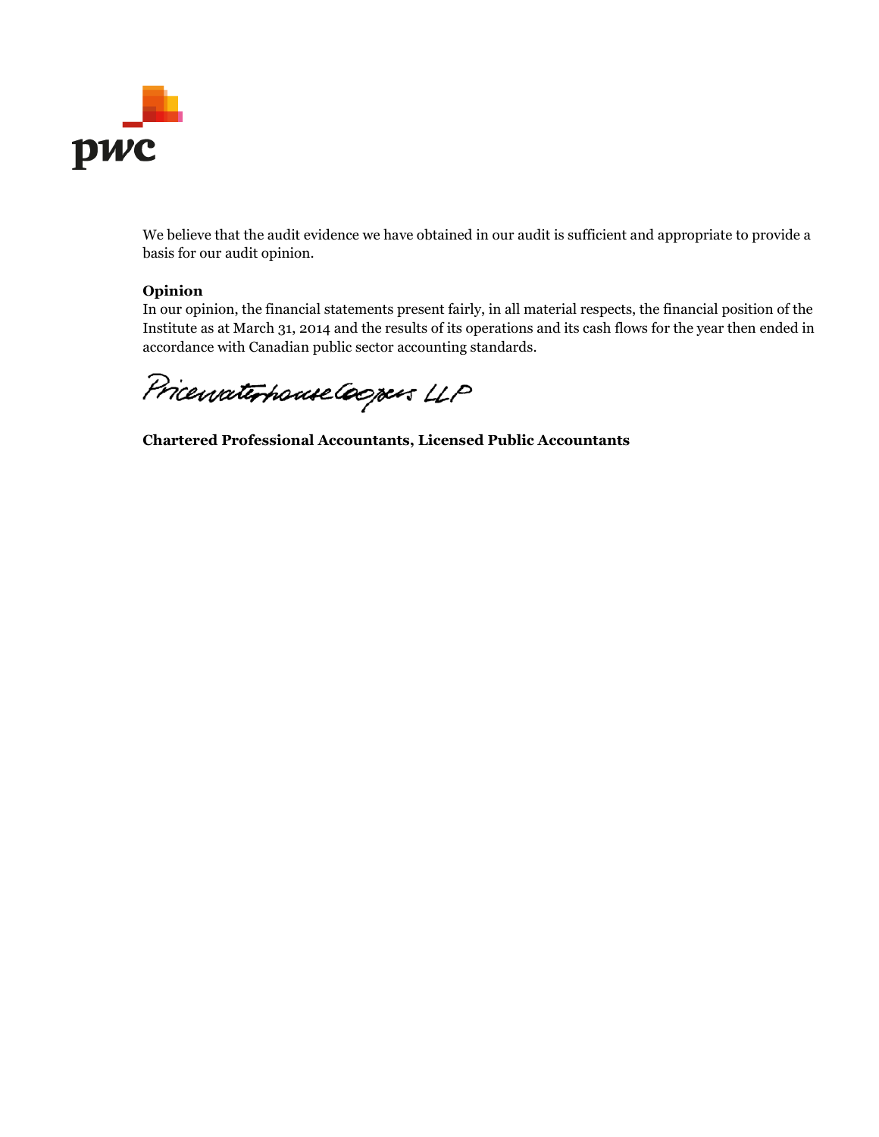

We believe that the audit evidence we have obtained in our audit is sufficient and appropriate to provide a basis for our audit opinion.

#### **Opinion**

In our opinion, the financial statements present fairly, in all material respects, the financial position of the Institute as at March 31, 2014 and the results of its operations and its cash flows for the year then ended in accordance with Canadian public sector accounting standards.

Pricewaterhouse Coopers LLP

**Chartered Professional Accountants, Licensed Public Accountants**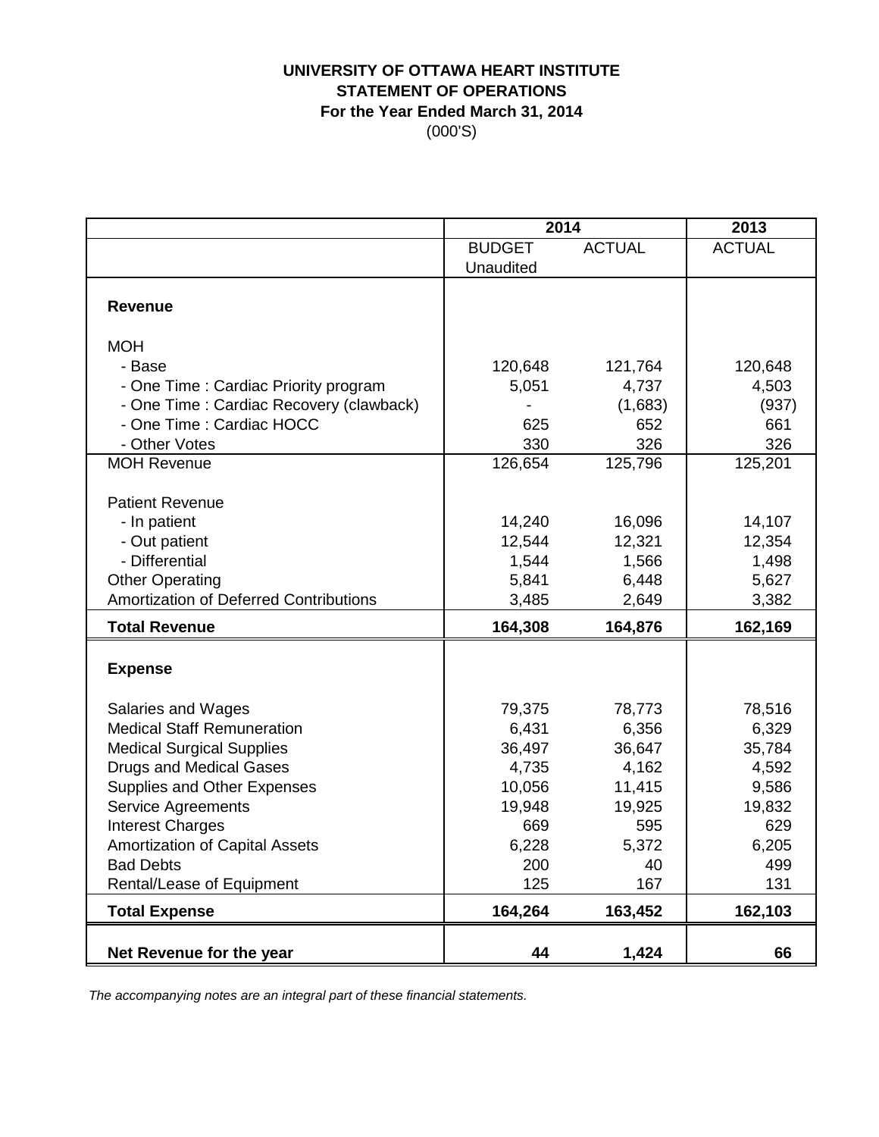## **UNIVERSITY OF OTTAWA HEART INSTITUTE STATEMENT OF OPERATIONS For the Year Ended March 31, 2014**

(000'S)

|                                                                    | 2014            | 2013            |                 |
|--------------------------------------------------------------------|-----------------|-----------------|-----------------|
|                                                                    | <b>BUDGET</b>   | <b>ACTUAL</b>   | <b>ACTUAL</b>   |
|                                                                    | Unaudited       |                 |                 |
|                                                                    |                 |                 |                 |
| <b>Revenue</b>                                                     |                 |                 |                 |
| <b>MOH</b>                                                         |                 |                 |                 |
| - Base                                                             | 120,648         | 121,764         | 120,648         |
| - One Time: Cardiac Priority program                               | 5,051           | 4,737           | 4,503           |
| - One Time: Cardiac Recovery (clawback)                            |                 | (1,683)         | (937)           |
| - One Time : Cardiac HOCC                                          | 625             | 652             | 661             |
| - Other Votes                                                      | 330             | 326             | 326             |
| <b>MOH Revenue</b>                                                 | 126,654         | 125,796         | 125,201         |
|                                                                    |                 |                 |                 |
| <b>Patient Revenue</b>                                             |                 |                 |                 |
| - In patient                                                       | 14,240          | 16,096          | 14,107          |
| - Out patient                                                      | 12,544          | 12,321          | 12,354          |
| - Differential                                                     | 1,544           | 1,566           | 1,498           |
| <b>Other Operating</b>                                             | 5,841           | 6,448           | 5,627           |
| Amortization of Deferred Contributions                             | 3,485           | 2,649           | 3,382           |
| <b>Total Revenue</b>                                               | 164,308         | 164,876         | 162,169         |
|                                                                    |                 |                 |                 |
| <b>Expense</b>                                                     |                 |                 |                 |
|                                                                    |                 |                 |                 |
| Salaries and Wages                                                 | 79,375          | 78,773          | 78,516          |
| <b>Medical Staff Remuneration</b>                                  | 6,431           | 6,356           | 6,329           |
| <b>Medical Surgical Supplies</b><br><b>Drugs and Medical Gases</b> | 36,497<br>4,735 | 36,647<br>4,162 | 35,784<br>4,592 |
| Supplies and Other Expenses                                        | 10,056          | 11,415          | 9,586           |
| <b>Service Agreements</b>                                          | 19,948          | 19,925          | 19,832          |
| <b>Interest Charges</b>                                            | 669             | 595             | 629             |
| Amortization of Capital Assets                                     | 6,228           | 5,372           | 6,205           |
| <b>Bad Debts</b>                                                   | 200             | 40              | 499             |
| Rental/Lease of Equipment                                          | 125             | 167             | 131             |
| <b>Total Expense</b>                                               | 164,264         | 163,452         | 162,103         |
|                                                                    |                 |                 |                 |
| Net Revenue for the year                                           | 44              | 1,424           | 66              |

*The accompanying notes are an integral part of these financial statements.*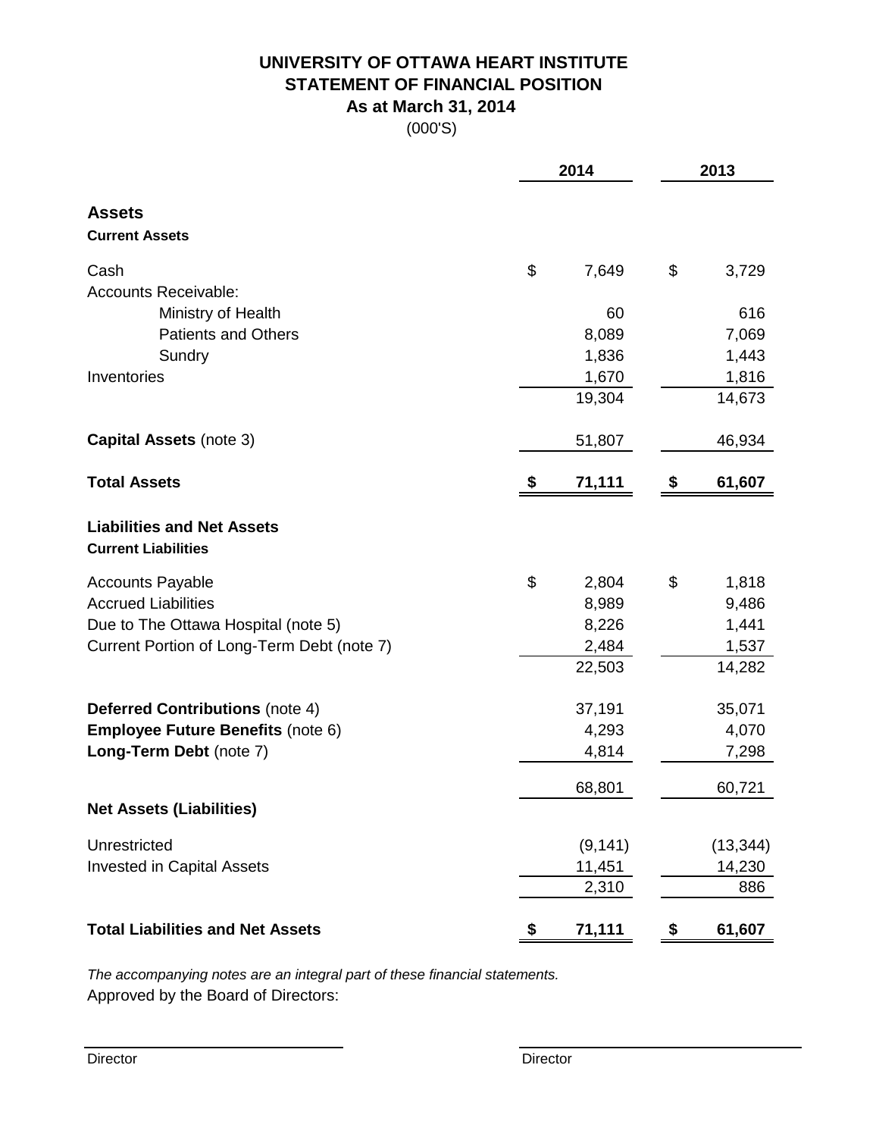# **UNIVERSITY OF OTTAWA HEART INSTITUTE STATEMENT OF FINANCIAL POSITION As at March 31, 2014**

(000'S)

|                                                                 | 2014         | 2013 |           |  |
|-----------------------------------------------------------------|--------------|------|-----------|--|
| <b>Assets</b>                                                   |              |      |           |  |
| <b>Current Assets</b>                                           |              |      |           |  |
| Cash                                                            | \$<br>7,649  | \$   | 3,729     |  |
| <b>Accounts Receivable:</b>                                     |              |      |           |  |
| Ministry of Health                                              | 60           |      | 616       |  |
| <b>Patients and Others</b>                                      | 8,089        |      | 7,069     |  |
| Sundry                                                          | 1,836        |      | 1,443     |  |
| Inventories                                                     | 1,670        |      | 1,816     |  |
|                                                                 | 19,304       |      | 14,673    |  |
| <b>Capital Assets (note 3)</b>                                  | 51,807       |      | 46,934    |  |
| <b>Total Assets</b>                                             | \$<br>71,111 | \$   | 61,607    |  |
| <b>Liabilities and Net Assets</b><br><b>Current Liabilities</b> |              |      |           |  |
| <b>Accounts Payable</b>                                         | \$<br>2,804  | \$   | 1,818     |  |
| <b>Accrued Liabilities</b>                                      | 8,989        |      | 9,486     |  |
| Due to The Ottawa Hospital (note 5)                             | 8,226        |      | 1,441     |  |
| Current Portion of Long-Term Debt (note 7)                      | 2,484        |      | 1,537     |  |
|                                                                 | 22,503       |      | 14,282    |  |
| <b>Deferred Contributions (note 4)</b>                          | 37,191       |      | 35,071    |  |
| <b>Employee Future Benefits (note 6)</b>                        | 4,293        |      | 4,070     |  |
| Long-Term Debt (note 7)                                         | 4,814        |      | 7,298     |  |
|                                                                 | 68,801       |      | 60,721    |  |
| <b>Net Assets (Liabilities)</b>                                 |              |      |           |  |
| Unrestricted                                                    | (9, 141)     |      | (13, 344) |  |
| <b>Invested in Capital Assets</b>                               | 11,451       |      | 14,230    |  |
|                                                                 | 2,310        |      | 886       |  |
| <b>Total Liabilities and Net Assets</b>                         | \$<br>71,111 | \$   | 61,607    |  |

*The accompanying notes are an integral part of these financial statements.* Approved by the Board of Directors: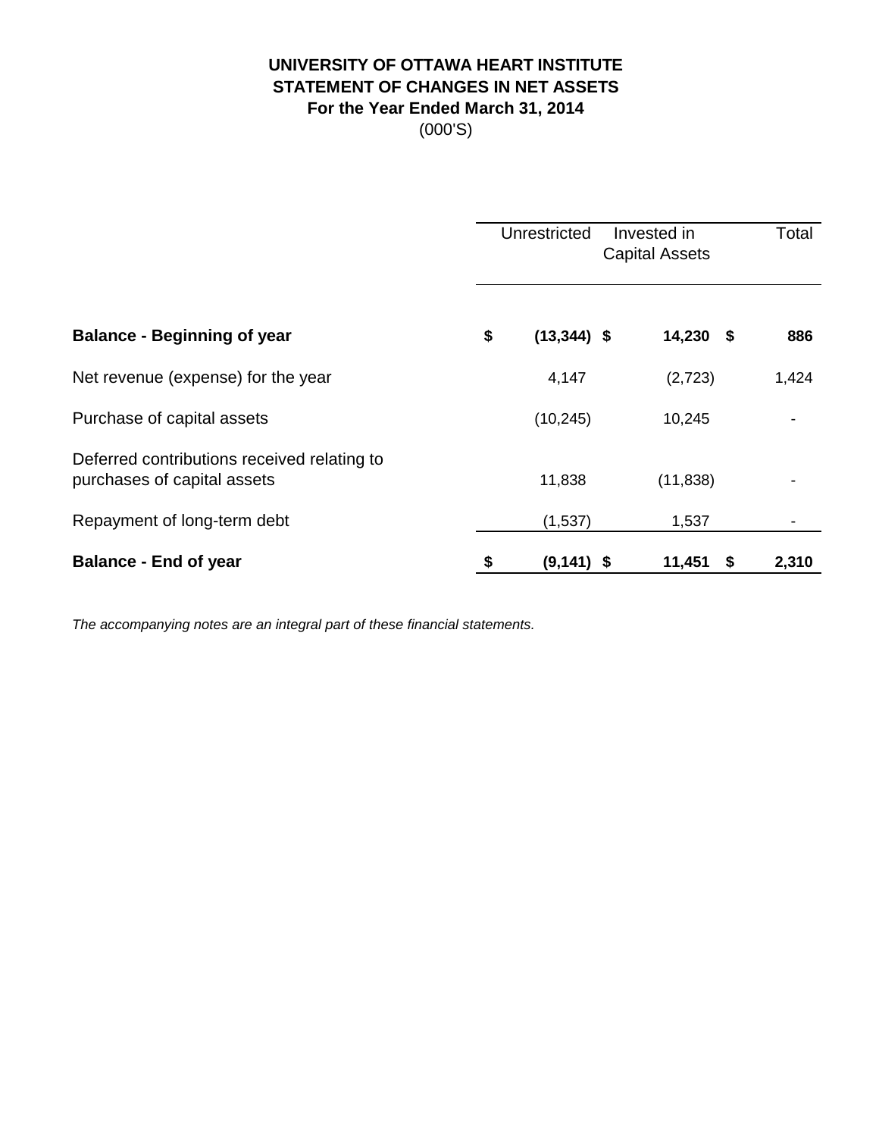# **UNIVERSITY OF OTTAWA HEART INSTITUTE STATEMENT OF CHANGES IN NET ASSETS For the Year Ended March 31, 2014**

(000'S)

|                                                                            | Unrestricted | Total         |             |             |
|----------------------------------------------------------------------------|--------------|---------------|-------------|-------------|
| <b>Balance - Beginning of year</b>                                         | \$           | $(13,344)$ \$ | $14,230$ \$ | 886         |
| Net revenue (expense) for the year                                         |              | 4,147         | (2,723)     | 1,424       |
| Purchase of capital assets                                                 |              | (10, 245)     | 10,245      |             |
| Deferred contributions received relating to<br>purchases of capital assets |              | 11,838        | (11, 838)   |             |
| Repayment of long-term debt                                                |              | (1,537)       | 1,537       |             |
| <b>Balance - End of year</b>                                               | \$           | $(9, 141)$ \$ | 11,451      | 2,310<br>\$ |

*The accompanying notes are an integral part of these financial statements.*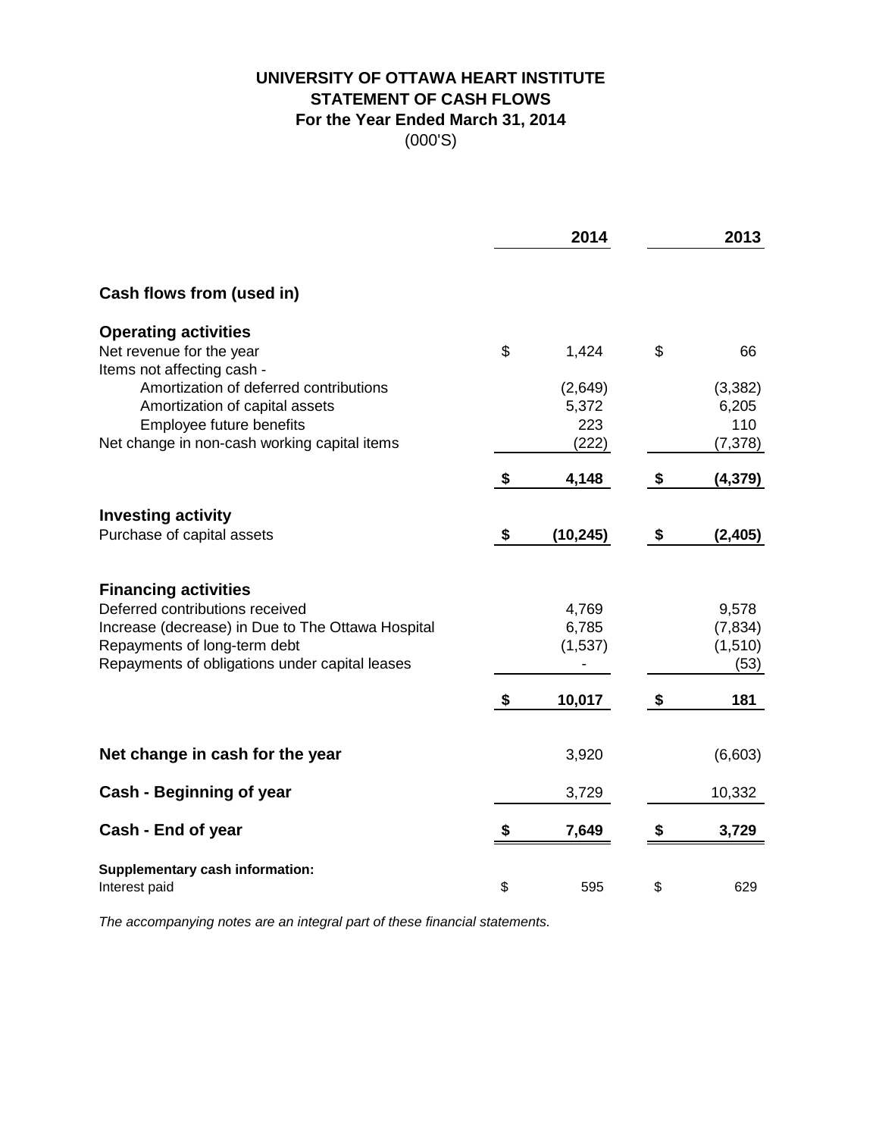# **UNIVERSITY OF OTTAWA HEART INSTITUTE STATEMENT OF CASH FLOWS For the Year Ended March 31, 2014** (000'S)

|                                                   |    | 2014      | 2013           |
|---------------------------------------------------|----|-----------|----------------|
| Cash flows from (used in)                         |    |           |                |
| <b>Operating activities</b>                       |    |           |                |
| Net revenue for the year                          | \$ | 1,424     | \$<br>66       |
| Items not affecting cash -                        |    |           |                |
| Amortization of deferred contributions            |    | (2,649)   | (3, 382)       |
| Amortization of capital assets                    |    | 5,372     | 6,205          |
| Employee future benefits                          |    | 223       | 110            |
| Net change in non-cash working capital items      |    | (222)     | (7, 378)       |
|                                                   | \$ | 4,148     | \$<br>(4, 379) |
| <b>Investing activity</b>                         |    |           |                |
| Purchase of capital assets                        | \$ | (10, 245) | \$<br>(2, 405) |
| <b>Financing activities</b>                       |    |           |                |
| Deferred contributions received                   |    | 4,769     | 9,578          |
| Increase (decrease) in Due to The Ottawa Hospital |    | 6,785     | (7, 834)       |
| Repayments of long-term debt                      |    | (1,537)   | (1, 510)       |
| Repayments of obligations under capital leases    |    |           | (53)           |
|                                                   | \$ | 10,017    | \$<br>181      |
| Net change in cash for the year                   |    | 3,920     | (6,603)        |
| Cash - Beginning of year                          |    | 3,729     | 10,332         |
| Cash - End of year                                | S  | 7,649     | \$<br>3,729    |
| Supplementary cash information:<br>Interest paid  | \$ | 595       | \$<br>629      |

*The accompanying notes are an integral part of these financial statements.*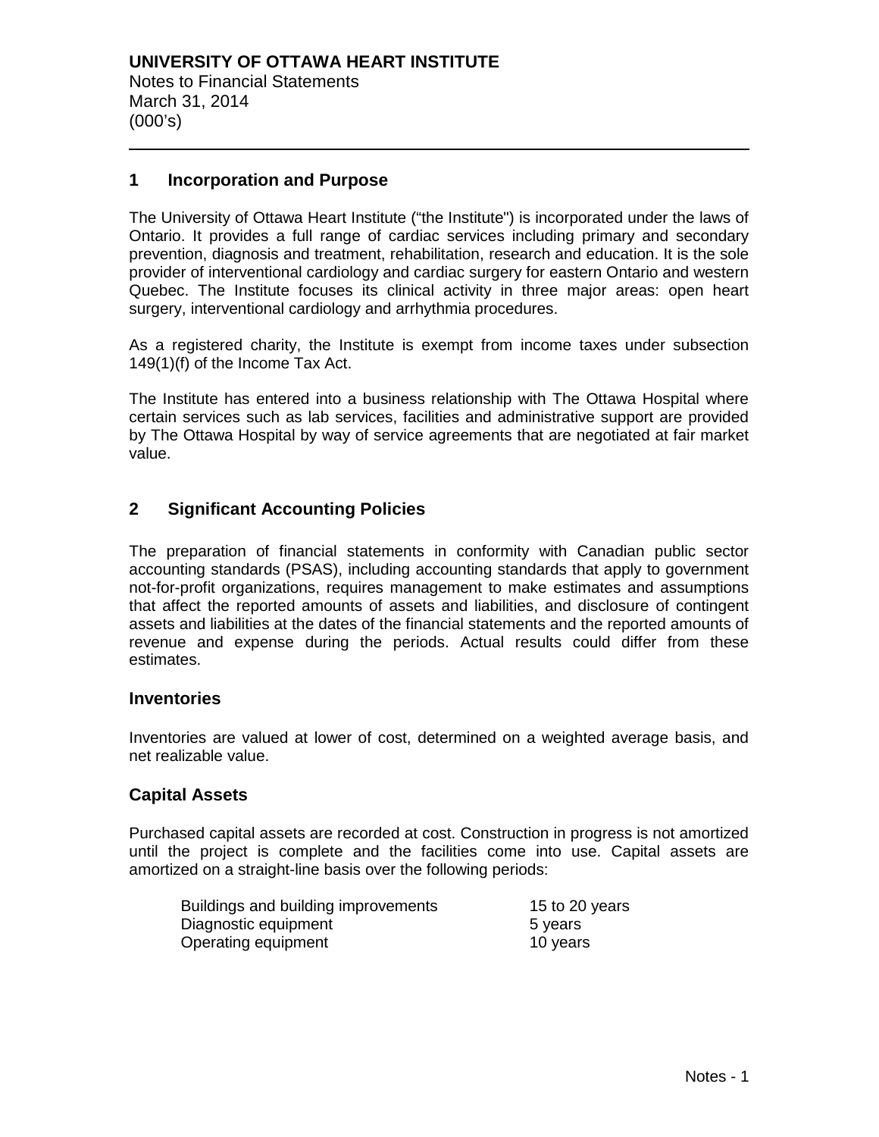#### **1 Incorporation and Purpose**

The University of Ottawa Heart Institute ("the Institute") is incorporated under the laws of Ontario. It provides a full range of cardiac services including primary and secondary prevention, diagnosis and treatment, rehabilitation, research and education. It is the sole provider of interventional cardiology and cardiac surgery for eastern Ontario and western Quebec. The Institute focuses its clinical activity in three major areas: open heart surgery, interventional cardiology and arrhythmia procedures.

As a registered charity, the Institute is exempt from income taxes under subsection 149(1)(f) of the Income Tax Act.

The Institute has entered into a business relationship with The Ottawa Hospital where certain services such as lab services, facilities and administrative support are provided by The Ottawa Hospital by way of service agreements that are negotiated at fair market value.

## **2 Significant Accounting Policies**

The preparation of financial statements in conformity with Canadian public sector accounting standards (PSAS), including accounting standards that apply to government not-for-profit organizations, requires management to make estimates and assumptions that affect the reported amounts of assets and liabilities, and disclosure of contingent assets and liabilities at the dates of the financial statements and the reported amounts of revenue and expense during the periods. Actual results could differ from these estimates.

#### **Inventories**

Inventories are valued at lower of cost, determined on a weighted average basis, and net realizable value.

#### **Capital Assets**

Purchased capital assets are recorded at cost. Construction in progress is not amortized until the project is complete and the facilities come into use. Capital assets are amortized on a straight-line basis over the following periods:

| Buildings and building improvements | 15 to 20 years |
|-------------------------------------|----------------|
| Diagnostic equipment                | 5 years        |
| Operating equipment                 | 10 years       |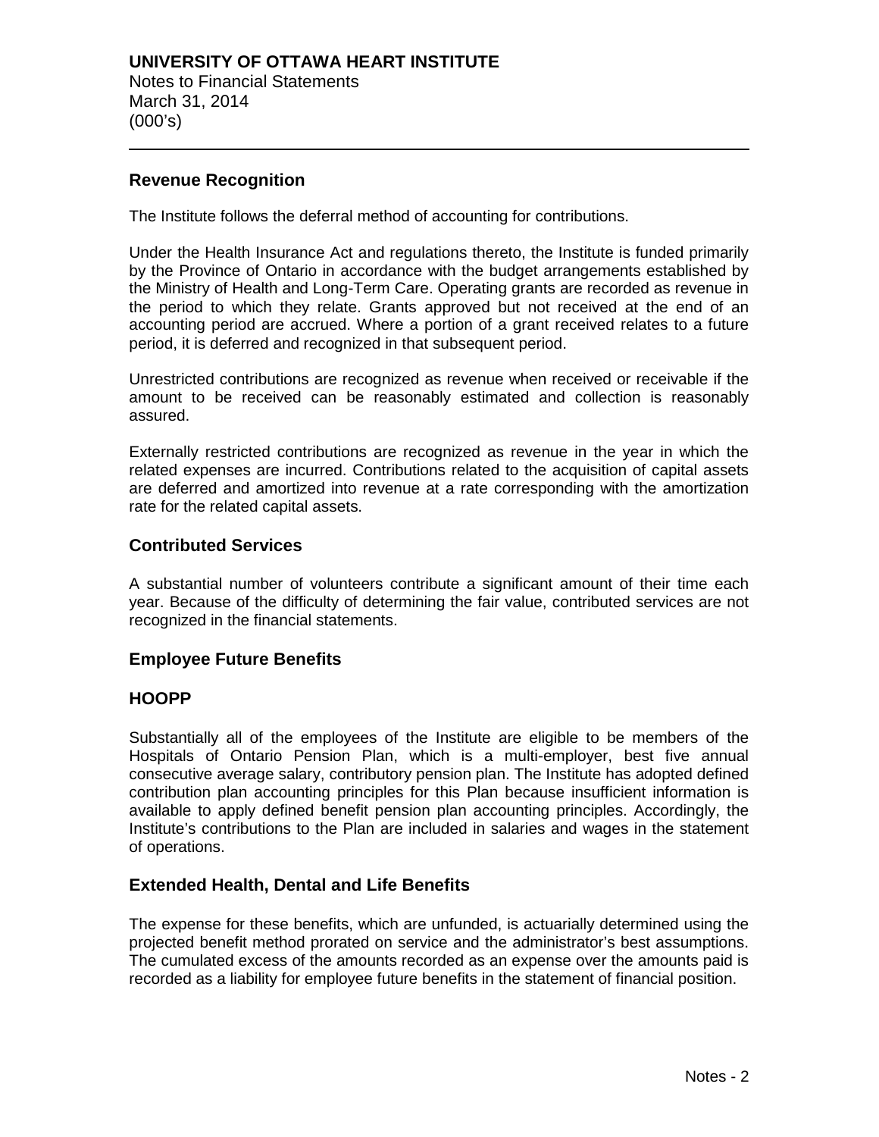#### **Revenue Recognition**

The Institute follows the deferral method of accounting for contributions.

Under the Health Insurance Act and regulations thereto, the Institute is funded primarily by the Province of Ontario in accordance with the budget arrangements established by the Ministry of Health and Long-Term Care. Operating grants are recorded as revenue in the period to which they relate. Grants approved but not received at the end of an accounting period are accrued. Where a portion of a grant received relates to a future period, it is deferred and recognized in that subsequent period.

Unrestricted contributions are recognized as revenue when received or receivable if the amount to be received can be reasonably estimated and collection is reasonably assured.

Externally restricted contributions are recognized as revenue in the year in which the related expenses are incurred. Contributions related to the acquisition of capital assets are deferred and amortized into revenue at a rate corresponding with the amortization rate for the related capital assets.

## **Contributed Services**

A substantial number of volunteers contribute a significant amount of their time each year. Because of the difficulty of determining the fair value, contributed services are not recognized in the financial statements.

#### **Employee Future Benefits**

#### **HOOPP**

Substantially all of the employees of the Institute are eligible to be members of the Hospitals of Ontario Pension Plan, which is a multi-employer, best five annual consecutive average salary, contributory pension plan. The Institute has adopted defined contribution plan accounting principles for this Plan because insufficient information is available to apply defined benefit pension plan accounting principles. Accordingly, the Institute's contributions to the Plan are included in salaries and wages in the statement of operations.

## **Extended Health, Dental and Life Benefits**

The expense for these benefits, which are unfunded, is actuarially determined using the projected benefit method prorated on service and the administrator's best assumptions. The cumulated excess of the amounts recorded as an expense over the amounts paid is recorded as a liability for employee future benefits in the statement of financial position.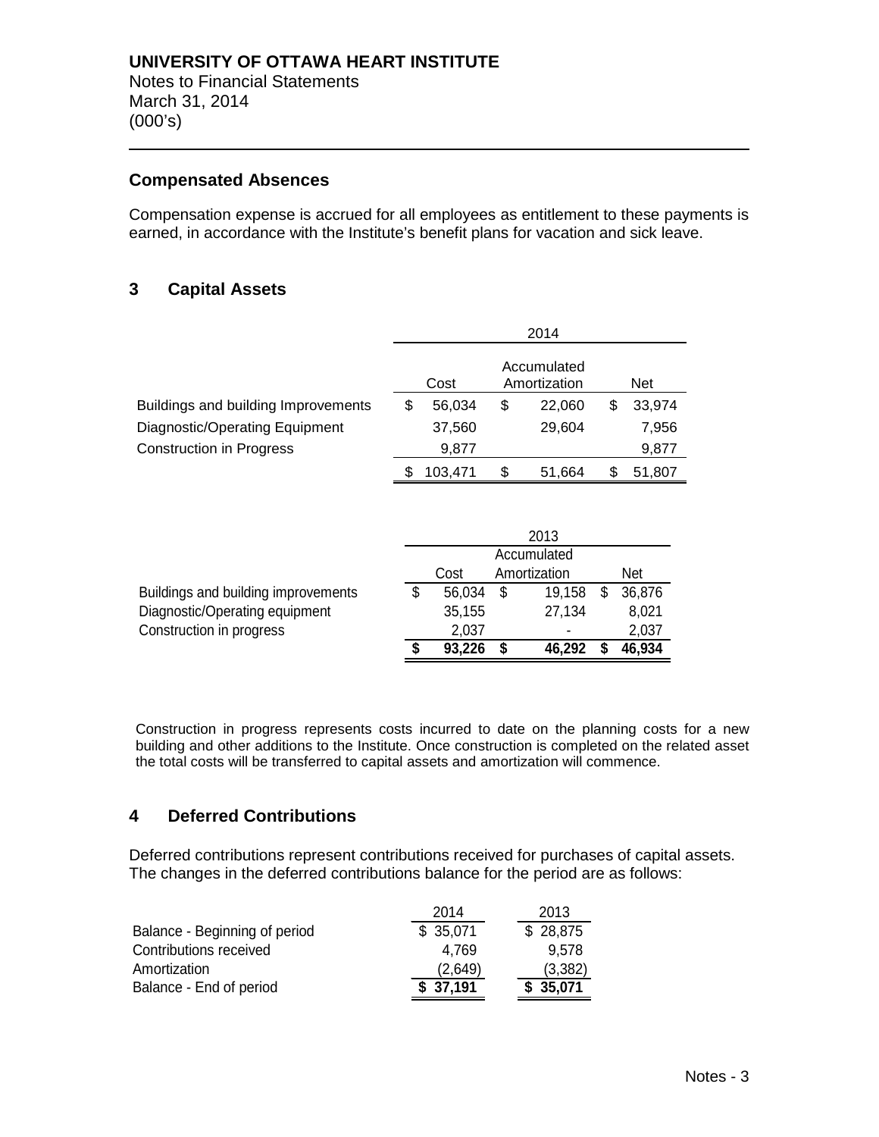#### **Compensated Absences**

Compensation expense is accrued for all employees as entitlement to these payments is earned, in accordance with the Institute's benefit plans for vacation and sick leave.

## **3 Capital Assets**

|                                     | 2014                                |    |        |    |        |  |  |
|-------------------------------------|-------------------------------------|----|--------|----|--------|--|--|
|                                     | Accumulated<br>Amortization<br>Cost |    |        |    | Net    |  |  |
| Buildings and building Improvements | 56,034                              | \$ | 22.060 | \$ | 33,974 |  |  |
| Diagnostic/Operating Equipment      | 37,560                              |    | 29.604 |    | 7,956  |  |  |
| <b>Construction in Progress</b>     | 9,877                               |    |        |    | 9,877  |  |  |
|                                     | 103,471                             |    | 51.664 |    | 51,807 |  |  |

|                                     | 2013                 |             |   |        |     |        |
|-------------------------------------|----------------------|-------------|---|--------|-----|--------|
|                                     |                      | Accumulated |   |        |     |        |
|                                     | Amortization<br>Cost |             |   |        | Net |        |
| Buildings and building improvements |                      | 56,034      | S | 19,158 |     | 36,876 |
| Diagnostic/Operating equipment      |                      | 35,155      |   | 27,134 |     | 8,021  |
| Construction in progress            |                      | 2,037       |   |        |     | 2,037  |
|                                     | S                    | 93,226      |   | 46,292 |     | 46,934 |

Construction in progress represents costs incurred to date on the planning costs for a new building and other additions to the Institute. Once construction is completed on the related asset the total costs will be transferred to capital assets and amortization will commence.

## **4 Deferred Contributions**

Deferred contributions represent contributions received for purchases of capital assets. The changes in the deferred contributions balance for the period are as follows:

|                               | 2014     | 2013     |
|-------------------------------|----------|----------|
| Balance - Beginning of period | \$35,071 | \$28,875 |
| Contributions received        | 4.769    | 9.578    |
| Amortization                  | (2,649)  | (3,382)  |
| Balance - End of period       | \$37,191 | 35,071   |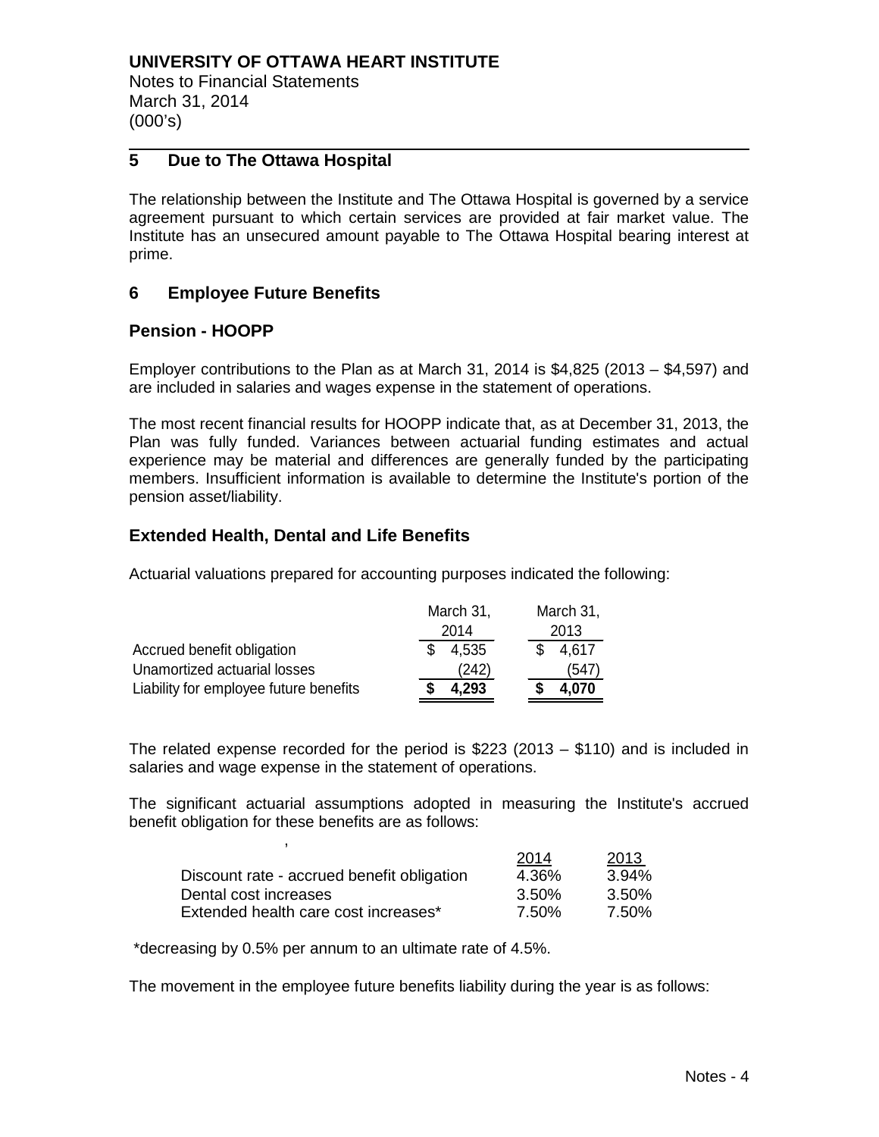## **5 Due to The Ottawa Hospital**

The relationship between the Institute and The Ottawa Hospital is governed by a service agreement pursuant to which certain services are provided at fair market value. The Institute has an unsecured amount payable to The Ottawa Hospital bearing interest at prime.

## **6 Employee Future Benefits**

#### **Pension - HOOPP**

Employer contributions to the Plan as at March 31, 2014 is \$4,825 (2013 – \$4,597) and are included in salaries and wages expense in the statement of operations.

The most recent financial results for HOOPP indicate that, as at December 31, 2013, the Plan was fully funded. Variances between actuarial funding estimates and actual experience may be material and differences are generally funded by the participating members. Insufficient information is available to determine the Institute's portion of the pension asset/liability.

## **Extended Health, Dental and Life Benefits**

,

Actuarial valuations prepared for accounting purposes indicated the following:

|                                        | March 31, | March 31, |
|----------------------------------------|-----------|-----------|
|                                        | 2014      | 2013      |
| Accrued benefit obligation             | 4,535     | 4,617     |
| Unamortized actuarial losses           | (242)     | (547)     |
| Liability for employee future benefits | 4,293     | 4,070     |

The related expense recorded for the period is \$223 (2013 – \$110) and is included in salaries and wage expense in the statement of operations.

The significant actuarial assumptions adopted in measuring the Institute's accrued benefit obligation for these benefits are as follows:

|                                            | 2014  | 2013  |
|--------------------------------------------|-------|-------|
| Discount rate - accrued benefit obligation | 4.36% | 3.94% |
| Dental cost increases                      | 3.50% | 3.50% |
| Extended health care cost increases*       | 7.50% | 7.50% |

\*decreasing by 0.5% per annum to an ultimate rate of 4.5%.

The movement in the employee future benefits liability during the year is as follows: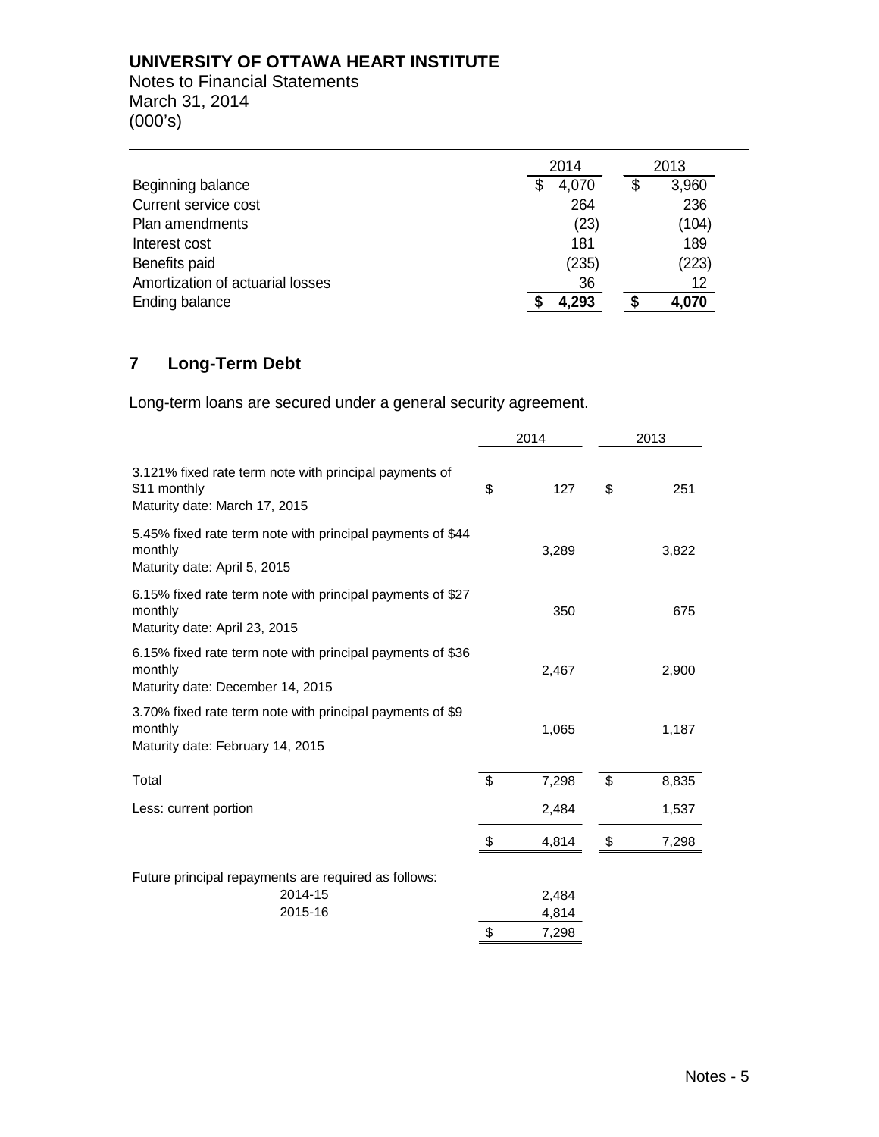# **UNIVERSITY OF OTTAWA HEART INSTITUTE**

Notes to Financial Statements March 31, 2014 (000's)

|                                  | 2014 |       | 2013  |
|----------------------------------|------|-------|-------|
| Beginning balance                |      | 4,070 | 3,960 |
| Current service cost             |      | 264   | 236   |
| Plan amendments                  |      | (23)  | (104) |
| Interest cost                    |      | 181   | 189   |
| Benefits paid                    |      | (235) | (223) |
| Amortization of actuarial losses |      | 36    | 12    |
| Ending balance                   |      | 4,293 | 4,070 |

# **7 Long-Term Debt**

Long-term loans are secured under a general security agreement.

|                                                                                                           | 2014        | 2013 |       |  |
|-----------------------------------------------------------------------------------------------------------|-------------|------|-------|--|
| 3.121% fixed rate term note with principal payments of<br>\$11 monthly<br>Maturity date: March 17, 2015   | \$<br>127   | \$   | 251   |  |
| 5.45% fixed rate term note with principal payments of \$44<br>monthly<br>Maturity date: April 5, 2015     | 3,289       |      | 3,822 |  |
| 6.15% fixed rate term note with principal payments of \$27<br>monthly<br>Maturity date: April 23, 2015    | 350         |      | 675   |  |
| 6.15% fixed rate term note with principal payments of \$36<br>monthly<br>Maturity date: December 14, 2015 | 2,467       |      | 2,900 |  |
| 3.70% fixed rate term note with principal payments of \$9<br>monthly<br>Maturity date: February 14, 2015  | 1,065       |      | 1,187 |  |
| Total                                                                                                     | \$<br>7,298 | \$   | 8,835 |  |
| Less: current portion                                                                                     | 2,484       |      | 1,537 |  |
|                                                                                                           | 4,814       |      | 7,298 |  |
| Future principal repayments are required as follows:<br>2014-15                                           | 2,484       |      |       |  |
| 2015-16                                                                                                   | 4,814       |      |       |  |
|                                                                                                           | \$<br>7,298 |      |       |  |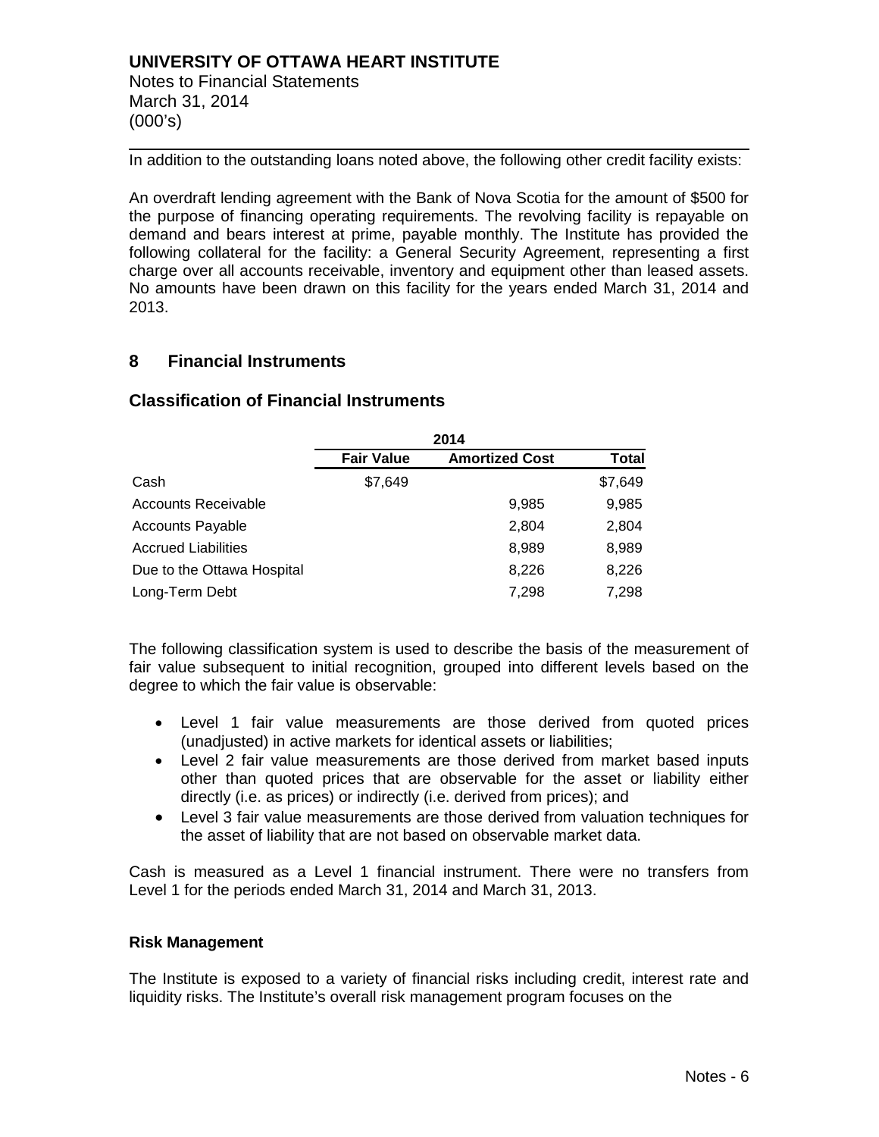#### **UNIVERSITY OF OTTAWA HEART INSTITUTE** Notes to Financial Statements

March 31, 2014 (000's)

In addition to the outstanding loans noted above, the following other credit facility exists:

An overdraft lending agreement with the Bank of Nova Scotia for the amount of \$500 for the purpose of financing operating requirements. The revolving facility is repayable on demand and bears interest at prime, payable monthly. The Institute has provided the following collateral for the facility: a General Security Agreement, representing a first charge over all accounts receivable, inventory and equipment other than leased assets. No amounts have been drawn on this facility for the years ended March 31, 2014 and 2013.

## **8 Financial Instruments**

## **Classification of Financial Instruments**

|                            | 2014              |                       |         |  |  |  |
|----------------------------|-------------------|-----------------------|---------|--|--|--|
|                            | <b>Fair Value</b> | <b>Amortized Cost</b> | Total   |  |  |  |
| Cash                       | \$7,649           |                       | \$7,649 |  |  |  |
| Accounts Receivable        |                   | 9,985                 | 9,985   |  |  |  |
| <b>Accounts Payable</b>    |                   | 2,804                 | 2,804   |  |  |  |
| <b>Accrued Liabilities</b> |                   | 8,989                 | 8,989   |  |  |  |
| Due to the Ottawa Hospital |                   | 8,226                 | 8,226   |  |  |  |
| Long-Term Debt             |                   | 7.298                 | 7,298   |  |  |  |

The following classification system is used to describe the basis of the measurement of fair value subsequent to initial recognition, grouped into different levels based on the degree to which the fair value is observable:

- Level 1 fair value measurements are those derived from quoted prices (unadjusted) in active markets for identical assets or liabilities;
- Level 2 fair value measurements are those derived from market based inputs other than quoted prices that are observable for the asset or liability either directly (i.e. as prices) or indirectly (i.e. derived from prices); and
- Level 3 fair value measurements are those derived from valuation techniques for the asset of liability that are not based on observable market data.

Cash is measured as a Level 1 financial instrument. There were no transfers from Level 1 for the periods ended March 31, 2014 and March 31, 2013.

#### **Risk Management**

The Institute is exposed to a variety of financial risks including credit, interest rate and liquidity risks. The Institute's overall risk management program focuses on the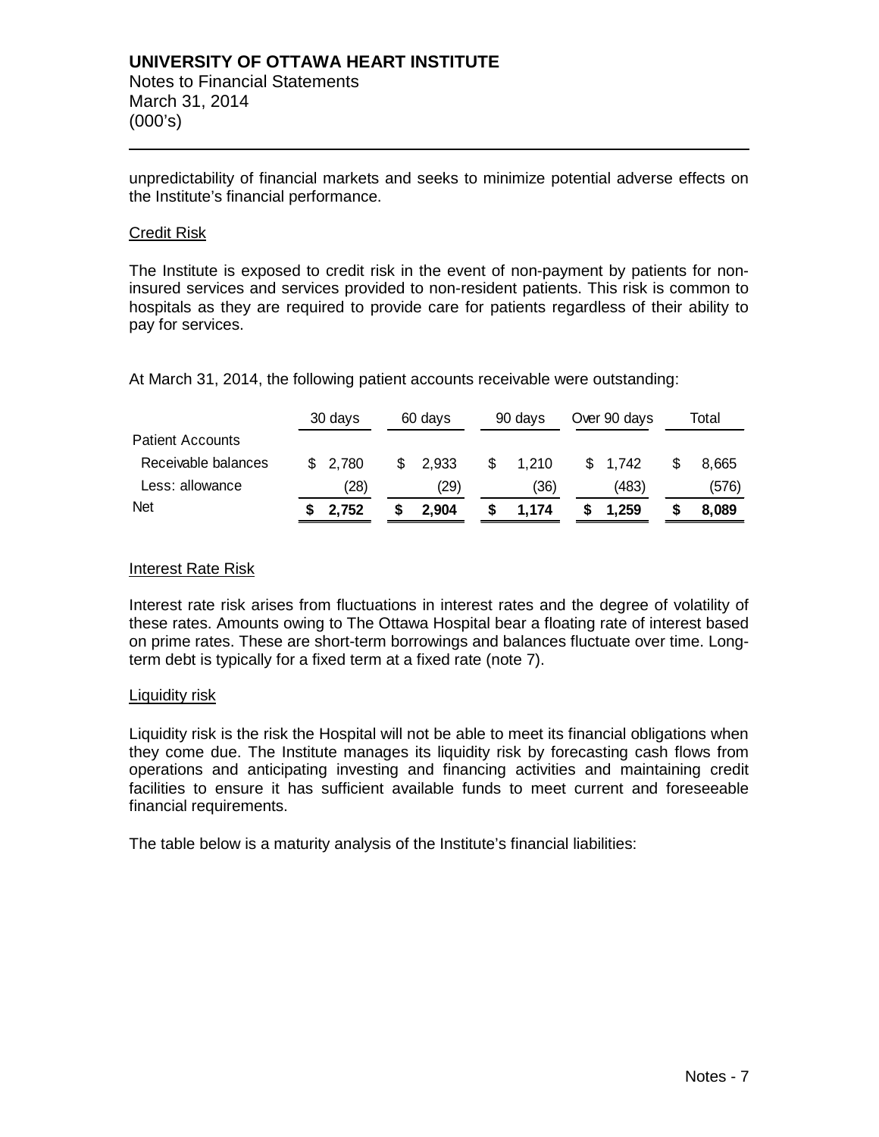unpredictability of financial markets and seeks to minimize potential adverse effects on the Institute's financial performance.

#### Credit Risk

(000's)

The Institute is exposed to credit risk in the event of non-payment by patients for noninsured services and services provided to non-resident patients. This risk is common to hospitals as they are required to provide care for patients regardless of their ability to pay for services.

At March 31, 2014, the following patient accounts receivable were outstanding:

|                         | 30 days | 60 days<br>90 davs |       | Over 90 days |       | Total   |  |       |
|-------------------------|---------|--------------------|-------|--------------|-------|---------|--|-------|
| <b>Patient Accounts</b> |         |                    |       |              |       |         |  |       |
| Receivable balances     | \$2,780 | S.                 | 2.933 | S            | 1.210 | \$1.742 |  | 8.665 |
| Less: allowance         | (28)    |                    | (29)  |              | (36)  | (483)   |  | (576) |
| <b>Net</b>              | 2,752   |                    | 2,904 |              | 1.174 | 1,259   |  | 8.089 |

#### Interest Rate Risk

Interest rate risk arises from fluctuations in interest rates and the degree of volatility of these rates. Amounts owing to The Ottawa Hospital bear a floating rate of interest based on prime rates. These are short-term borrowings and balances fluctuate over time. Longterm debt is typically for a fixed term at a fixed rate (note 7).

#### Liquidity risk

Liquidity risk is the risk the Hospital will not be able to meet its financial obligations when they come due. The Institute manages its liquidity risk by forecasting cash flows from operations and anticipating investing and financing activities and maintaining credit facilities to ensure it has sufficient available funds to meet current and foreseeable financial requirements.

The table below is a maturity analysis of the Institute's financial liabilities: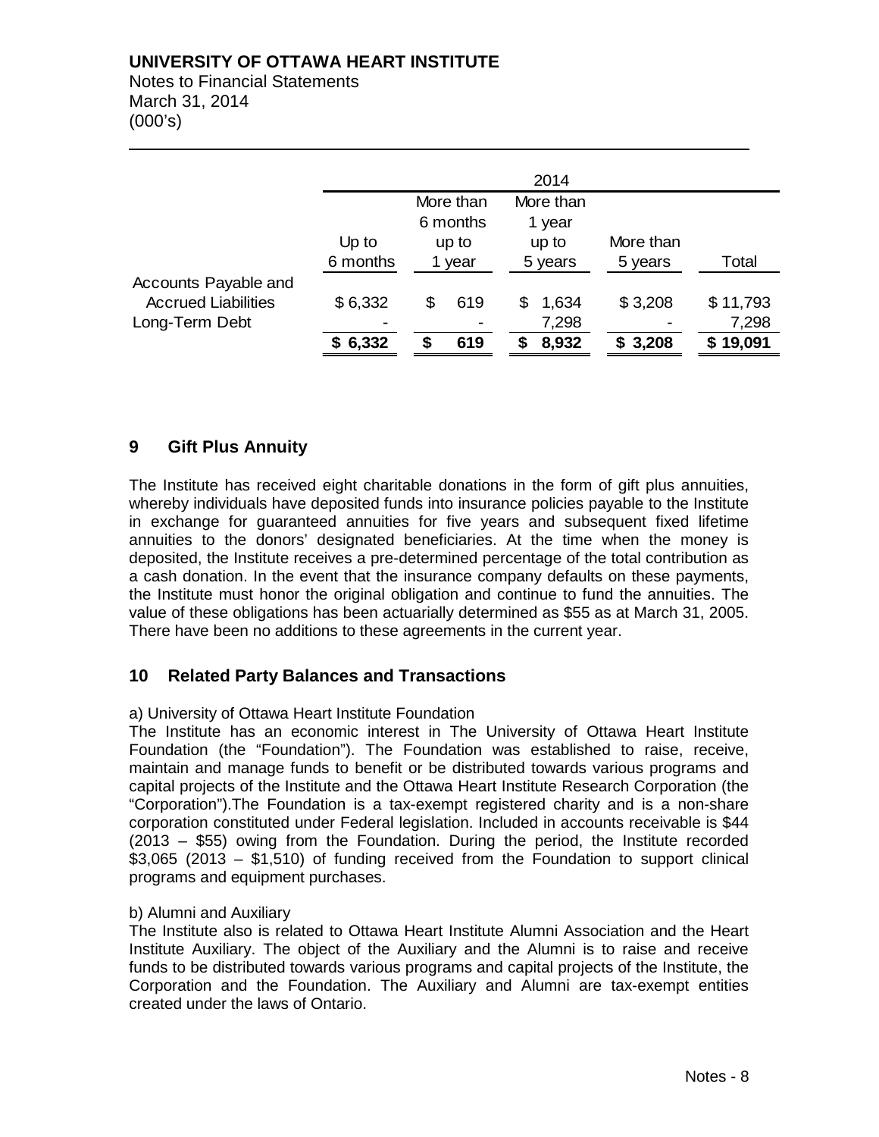# **UNIVERSITY OF OTTAWA HEART INSTITUTE**

Notes to Financial Statements March 31, 2014 (000's)

|                            |          | 2014                                     |     |                  |           |           |              |  |
|----------------------------|----------|------------------------------------------|-----|------------------|-----------|-----------|--------------|--|
|                            |          | More than<br>6 months<br>up to<br>1 year |     |                  | More than |           |              |  |
|                            |          |                                          |     |                  | 1 year    |           |              |  |
|                            | Up to    |                                          |     | up to<br>5 years |           | More than |              |  |
|                            | 6 months |                                          |     |                  |           | 5 years   | Total        |  |
| Accounts Payable and       |          |                                          |     |                  |           |           |              |  |
| <b>Accrued Liabilities</b> | \$6,332  | \$                                       | 619 | S                | 1,634     | \$3,208   | \$11,793     |  |
| Long-Term Debt             |          |                                          |     |                  | 7,298     |           | 7,298        |  |
|                            | \$6,332  |                                          | 619 | S                | 8,932     | \$3,208   | 19,091<br>S. |  |

# **9 Gift Plus Annuity**

The Institute has received eight charitable donations in the form of gift plus annuities, whereby individuals have deposited funds into insurance policies payable to the Institute in exchange for guaranteed annuities for five years and subsequent fixed lifetime annuities to the donors' designated beneficiaries. At the time when the money is deposited, the Institute receives a pre-determined percentage of the total contribution as a cash donation. In the event that the insurance company defaults on these payments, the Institute must honor the original obligation and continue to fund the annuities. The value of these obligations has been actuarially determined as \$55 as at March 31, 2005. There have been no additions to these agreements in the current year.

## **10 Related Party Balances and Transactions**

#### a) University of Ottawa Heart Institute Foundation

The Institute has an economic interest in The University of Ottawa Heart Institute Foundation (the "Foundation"). The Foundation was established to raise, receive, maintain and manage funds to benefit or be distributed towards various programs and capital projects of the Institute and the Ottawa Heart Institute Research Corporation (the "Corporation").The Foundation is a tax-exempt registered charity and is a non-share corporation constituted under Federal legislation. Included in accounts receivable is \$44 (2013 – \$55) owing from the Foundation. During the period, the Institute recorded \$3,065 (2013 – \$1,510) of funding received from the Foundation to support clinical programs and equipment purchases.

#### b) Alumni and Auxiliary

The Institute also is related to Ottawa Heart Institute Alumni Association and the Heart Institute Auxiliary. The object of the Auxiliary and the Alumni is to raise and receive funds to be distributed towards various programs and capital projects of the Institute, the Corporation and the Foundation. The Auxiliary and Alumni are tax-exempt entities created under the laws of Ontario.